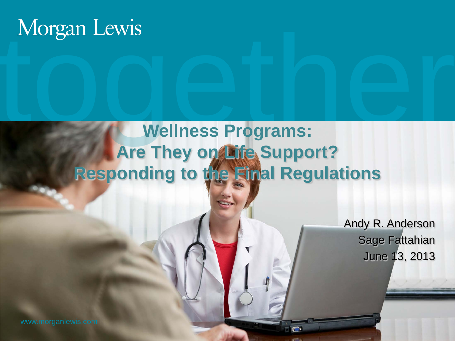# Wellness Programs: **Wellness Programs: Are They on Life Support? Responding to the Final Regulations**

Andy R. Anderson Sage Fattahian June 13, 2013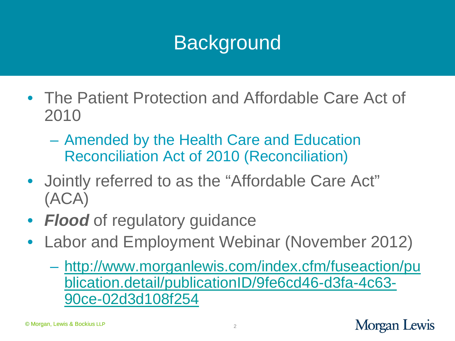### **Background**

- The Patient Protection and Affordable Care Act of 2010
	- Amended by the Health Care and Education Reconciliation Act of 2010 (Reconciliation)
- Jointly referred to as the "Affordable Care Act" (ACA)
- *Flood* of regulatory guidance
- Labor and Employment Webinar (November 2012)
	- [http://www.morganlewis.com/index.cfm/fuseaction/pu](http://www.morganlewis.com/index.cfm/fuseaction/publication.detail/publicationID/9fe6cd46-d3fa-4c63-90ce-02d3d108f254) [blication.detail/publicationID/9fe6cd46-d3fa-4c63-](http://www.morganlewis.com/index.cfm/fuseaction/publication.detail/publicationID/9fe6cd46-d3fa-4c63-90ce-02d3d108f254) [90ce-02d3d108f254](http://www.morganlewis.com/index.cfm/fuseaction/publication.detail/publicationID/9fe6cd46-d3fa-4c63-90ce-02d3d108f254)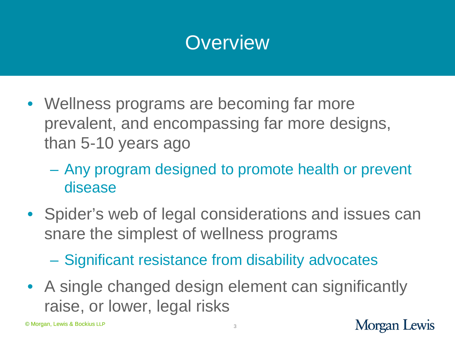#### **Overview**

- Wellness programs are becoming far more prevalent, and encompassing far more designs, than 5-10 years ago
	- Any program designed to promote health or prevent disease
- Spider's web of legal considerations and issues can snare the simplest of wellness programs

– Significant resistance from disability advocates

• A single changed design element can significantly raise, or lower, legal risks

© Morgan, Lewis & Bockius LLP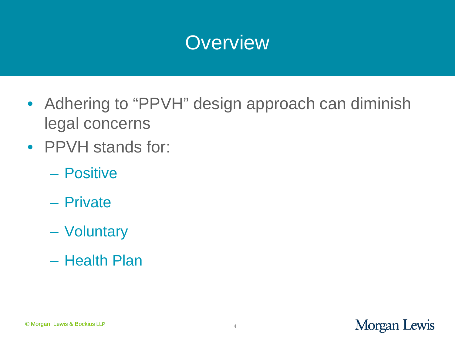#### **Overview**

- Adhering to "PPVH" design approach can diminish legal concerns
- PPVH stands for:
	- Positive
	- Private
	- Voluntary
	- Health Plan

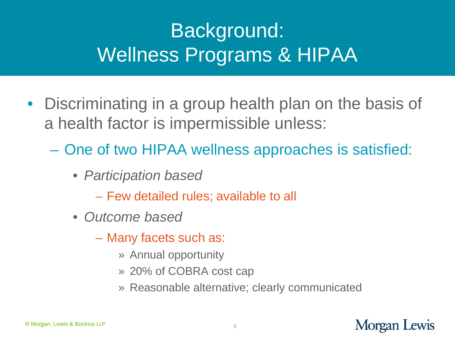### Background: Wellness Programs & HIPAA

- Discriminating in a group health plan on the basis of a health factor is impermissible unless:
	- One of two HIPAA wellness approaches is satisfied:
		- *Participation based*
			- Few detailed rules; available to all
		- *Outcome based*
			- Many facets such as:
				- » Annual opportunity
				- » 20% of COBRA cost cap
				- » Reasonable alternative; clearly communicated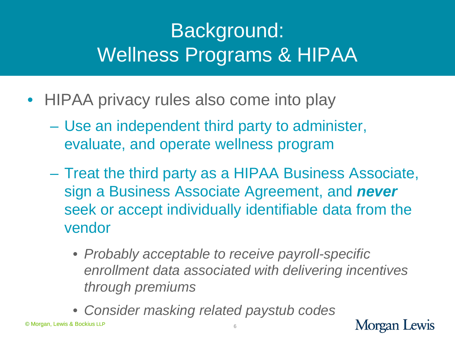### Background: Wellness Programs & HIPAA

- HIPAA privacy rules also come into play
	- Use an independent third party to administer, evaluate, and operate wellness program
	- Treat the third party as a HIPAA Business Associate, sign a Business Associate Agreement, and *never* seek or accept individually identifiable data from the vendor
		- *Probably acceptable to receive payroll-specific enrollment data associated with delivering incentives through premiums*
		- *Consider masking related paystub codes*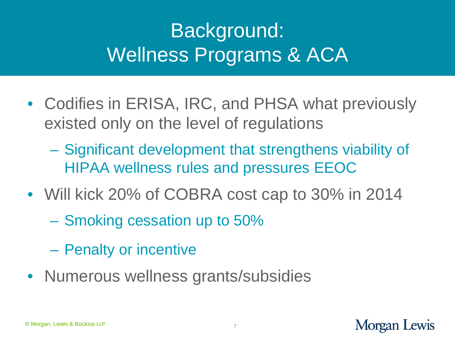### Background: Wellness Programs & ACA

- Codifies in ERISA, IRC, and PHSA what previously existed only on the level of regulations
	- Significant development that strengthens viability of HIPAA wellness rules and pressures EEOC
- Will kick 20% of COBRA cost cap to 30% in 2014
	- Smoking cessation up to 50%
	- Penalty or incentive
- Numerous wellness grants/subsidies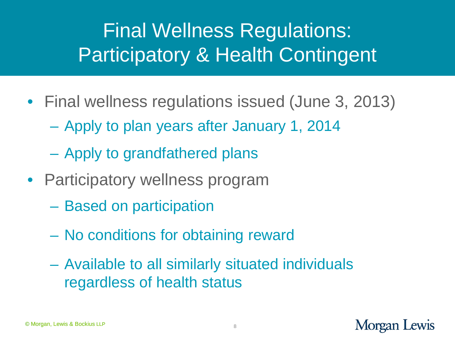### Final Wellness Regulations: Participatory & Health Contingent

- Final wellness regulations issued (June 3, 2013)
	- Apply to plan years after January 1, 2014
	- Apply to grandfathered plans
- Participatory wellness program
	- Based on participation
	- No conditions for obtaining reward
	- Available to all similarly situated individuals regardless of health status

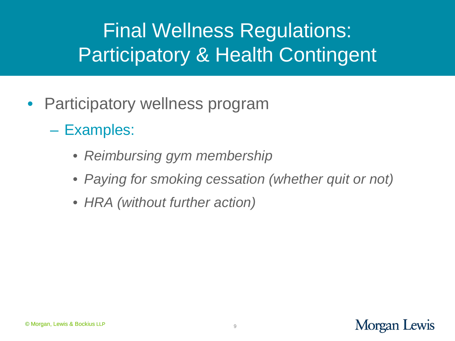### Final Wellness Regulations: Participatory & Health Contingent

- Participatory wellness program
	- Examples:
		- *Reimbursing gym membership*
		- *Paying for smoking cessation (whether quit or not)*
		- *HRA (without further action)*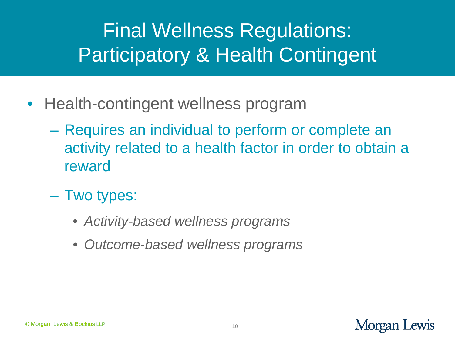### Final Wellness Regulations: Participatory & Health Contingent

- Health-contingent wellness program
	- Requires an individual to perform or complete an activity related to a health factor in order to obtain a reward
	- Two types:
		- *Activity-based wellness programs*
		- *Outcome-based wellness programs*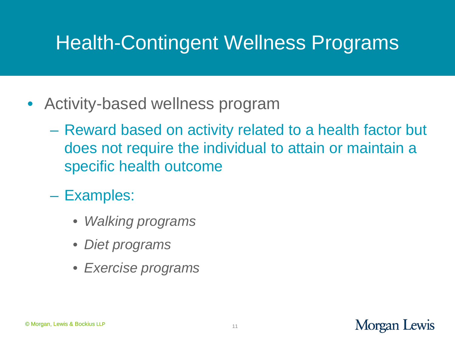#### Health-Contingent Wellness Programs

- Activity-based wellness program
	- Reward based on activity related to a health factor but does not require the individual to attain or maintain a specific health outcome
	- Examples:
		- *Walking programs*
		- *Diet programs*
		- *Exercise programs*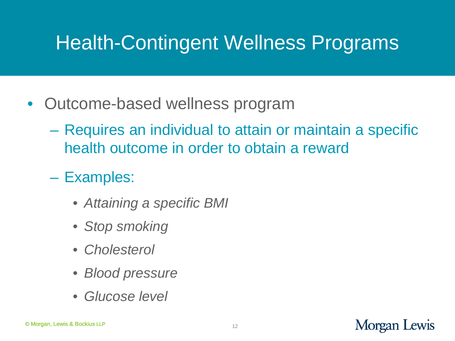#### Health-Contingent Wellness Programs

- Outcome-based wellness program
	- Requires an individual to attain or maintain a specific health outcome in order to obtain a reward
	- Examples:
		- *Attaining a specific BMI*
		- *Stop smoking*
		- *Cholesterol*
		- *Blood pressure*
		- *Glucose level*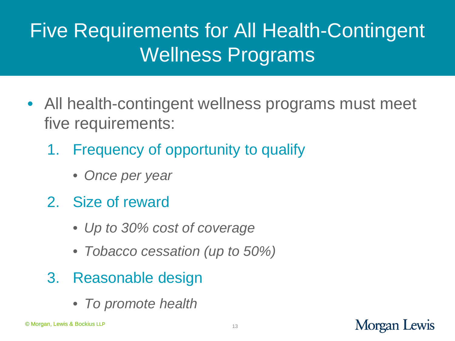### Five Requirements for All Health-Contingent Wellness Programs

- All health-contingent wellness programs must meet five requirements:
	- 1. Frequency of opportunity to qualify
		- *Once per year*
	- 2. Size of reward
		- *Up to 30% cost of coverage*
		- *Tobacco cessation (up to 50%)*
	- 3. Reasonable design
		- *To promote health*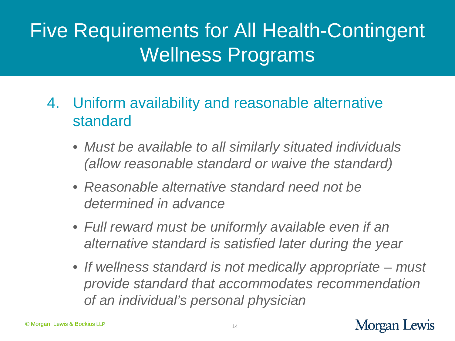#### Five Requirements for All Health-Contingent Wellness Programs

- 4. Uniform availability and reasonable alternative standard
	- *Must be available to all similarly situated individuals (allow reasonable standard or waive the standard)*
	- *Reasonable alternative standard need not be determined in advance*
	- *Full reward must be uniformly available even if an alternative standard is satisfied later during the year*
	- *If wellness standard is not medically appropriate – must provide standard that accommodates recommendation of an individual's personal physician*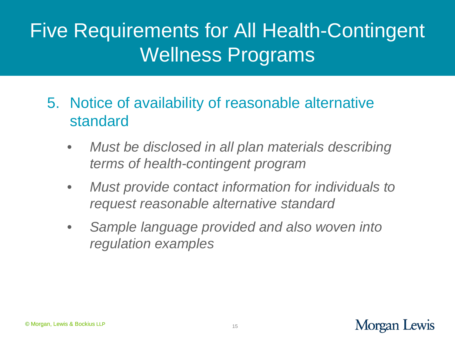#### Five Requirements for All Health-Contingent Wellness Programs

- 5. Notice of availability of reasonable alternative standard
	- *Must be disclosed in all plan materials describing terms of health-contingent program*
	- *Must provide contact information for individuals to request reasonable alternative standard*
	- *Sample language provided and also woven into regulation examples*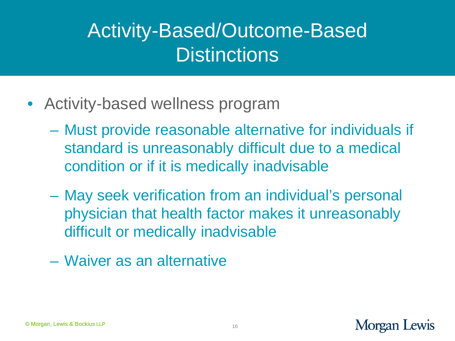#### Activity-Based/Outcome-Based **Distinctions**

- Activity-based wellness program
	- Must provide reasonable alternative for individuals if standard is unreasonably difficult due to a medical condition or if it is medically inadvisable
	- May seek verification from an individual's personal physician that health factor makes it unreasonably difficult or medically inadvisable
	- Waiver as an alternative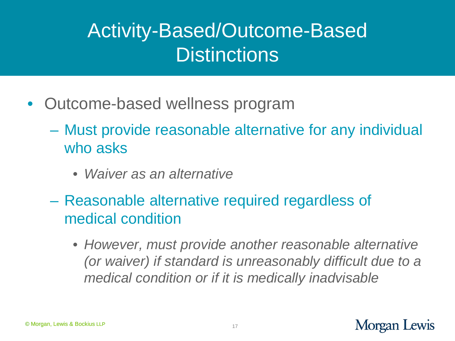#### Activity-Based/Outcome-Based **Distinctions**

- Outcome-based wellness program
	- Must provide reasonable alternative for any individual who asks
		- *Waiver as an alternative*
	- Reasonable alternative required regardless of medical condition
		- *However, must provide another reasonable alternative (or waiver) if standard is unreasonably difficult due to a medical condition or if it is medically inadvisable*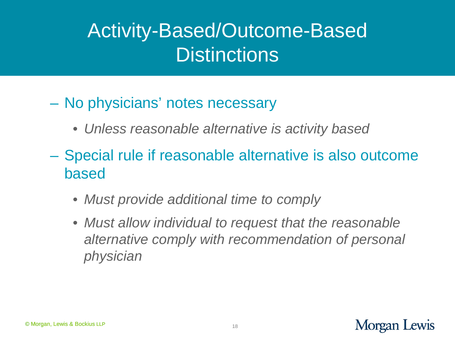#### Activity-Based/Outcome-Based **Distinctions**

- No physicians' notes necessary
	- *Unless reasonable alternative is activity based*
- Special rule if reasonable alternative is also outcome based
	- *Must provide additional time to comply*
	- *Must allow individual to request that the reasonable alternative comply with recommendation of personal physician*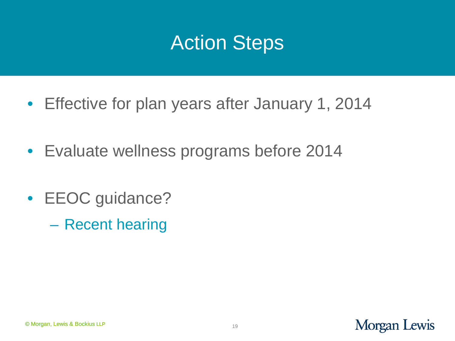#### Action Steps

- Effective for plan years after January 1, 2014
- Evaluate wellness programs before 2014
- **EEOC** guidance?
	- Recent hearing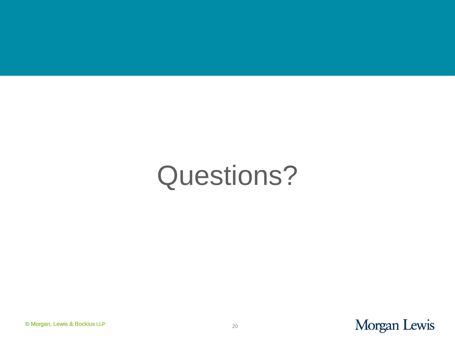## Questions?

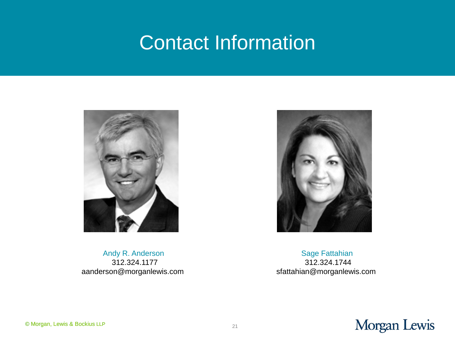#### Contact Information



Andy R. Anderson 312.324.1177 aanderson@morganlewis.com

Sage Fattahian 312.324.1744 sfattahian@morganlewis.com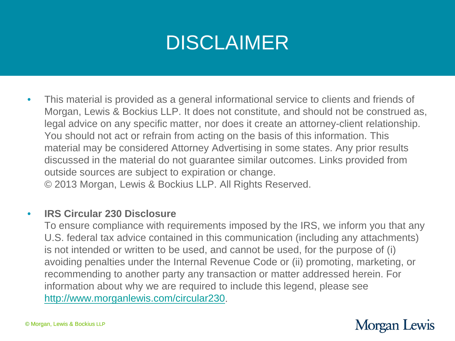#### DISCLAIMER

• This material is provided as a general informational service to clients and friends of Morgan, Lewis & Bockius LLP. It does not constitute, and should not be construed as, legal advice on any specific matter, nor does it create an attorney-client relationship. You should not act or refrain from acting on the basis of this information. This material may be considered Attorney Advertising in some states. Any prior results discussed in the material do not guarantee similar outcomes. Links provided from outside sources are subject to expiration or change. © 2013 Morgan, Lewis & Bockius LLP. All Rights Reserved.

#### • **IRS Circular 230 Disclosure**

To ensure compliance with requirements imposed by the IRS, we inform you that any U.S. federal tax advice contained in this communication (including any attachments) is not intended or written to be used, and cannot be used, for the purpose of (i) avoiding penalties under the Internal Revenue Code or (ii) promoting, marketing, or recommending to another party any transaction or matter addressed herein. For information about why we are required to include this legend, please see <http://www.morganlewis.com/circular230>.